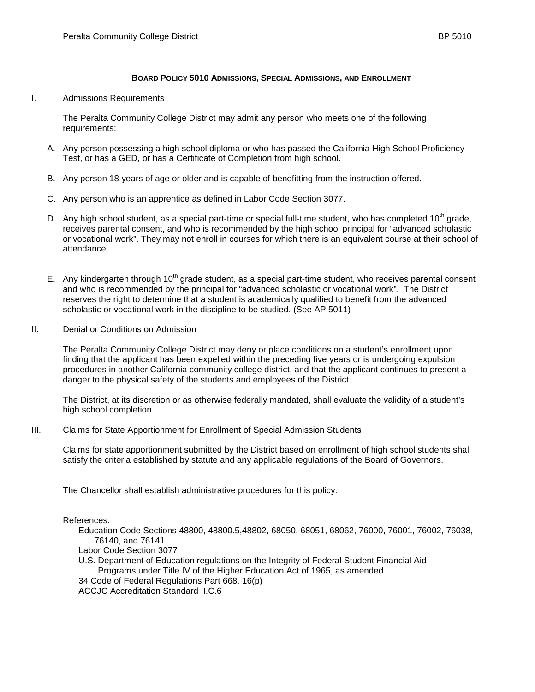## **BOARD POLICY 5010 ADMISSIONS, SPECIAL ADMISSIONS, AND ENROLLMENT**

## I. Admissions Requirements

The Peralta Community College District may admit any person who meets one of the following requirements:

- A. Any person possessing a high school diploma or who has passed the California High School Proficiency Test, or has a GED, or has a Certificate of Completion from high school.
- B. Any person 18 years of age or older and is capable of benefitting from the instruction offered.
- C. Any person who is an apprentice as defined in Labor Code Section 3077.
- D. Any high school student, as a special part-time or special full-time student, who has completed 10<sup>th</sup> grade, receives parental consent, and who is recommended by the high school principal for "advanced scholastic or vocational work". They may not enroll in courses for which there is an equivalent course at their school of attendance.
- E. Any kindergarten through  $10<sup>th</sup>$  grade student, as a special part-time student, who receives parental consent and who is recommended by the principal for "advanced scholastic or vocational work". The District reserves the right to determine that a student is academically qualified to benefit from the advanced scholastic or vocational work in the discipline to be studied. (See AP 5011)
- II. Denial or Conditions on Admission

The Peralta Community College District may deny or place conditions on a student's enrollment upon finding that the applicant has been expelled within the preceding five years or is undergoing expulsion procedures in another California community college district, and that the applicant continues to present a danger to the physical safety of the students and employees of the District.

The District, at its discretion or as otherwise federally mandated, shall evaluate the validity of a student's high school completion.

III. Claims for State Apportionment for Enrollment of Special Admission Students

Claims for state apportionment submitted by the District based on enrollment of high school students shall satisfy the criteria established by statute and any applicable regulations of the Board of Governors.

The Chancellor shall establish administrative procedures for this policy.

References:

Education Code Sections 48800, 48800.5,48802, 68050, 68051, 68062, 76000, 76001, 76002, 76038, 76140, and 76141

Labor Code Section 3077

U.S. Department of Education regulations on the Integrity of Federal Student Financial Aid Programs under Title IV of the Higher Education Act of 1965, as amended 34 Code of Federal Regulations Part 668. 16(p) ACCJC Accreditation Standard II.C.6